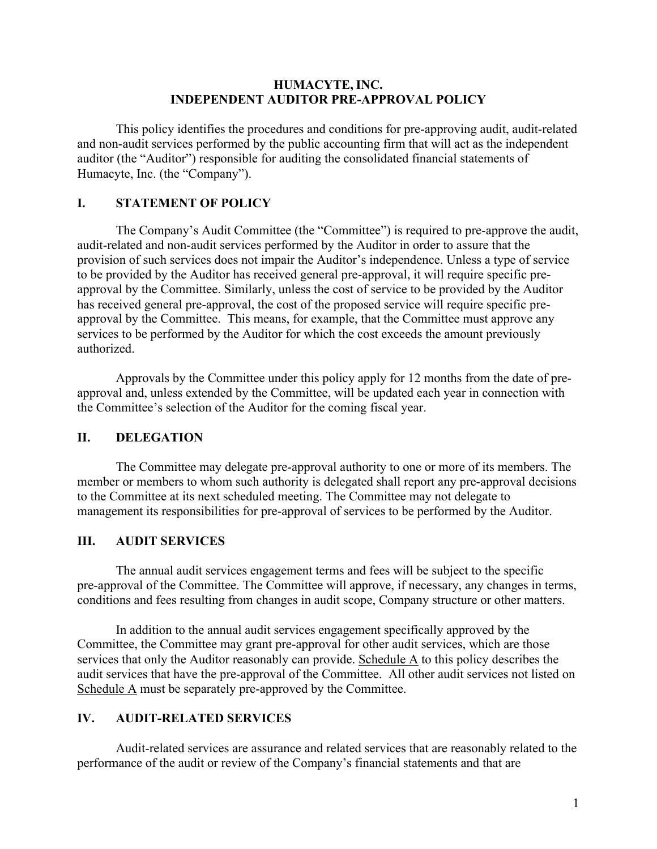#### **HUMACYTE, INC. INDEPENDENT AUDITOR PRE-APPROVAL POLICY**

This policy identifies the procedures and conditions for pre-approving audit, audit-related and non-audit services performed by the public accounting firm that will act as the independent auditor (the "Auditor") responsible for auditing the consolidated financial statements of Humacyte, Inc. (the "Company").

### **I. STATEMENT OF POLICY**

The Company's Audit Committee (the "Committee") is required to pre-approve the audit, audit-related and non-audit services performed by the Auditor in order to assure that the provision of such services does not impair the Auditor's independence. Unless a type of service to be provided by the Auditor has received general pre-approval, it will require specific preapproval by the Committee. Similarly, unless the cost of service to be provided by the Auditor has received general pre-approval, the cost of the proposed service will require specific preapproval by the Committee. This means, for example, that the Committee must approve any services to be performed by the Auditor for which the cost exceeds the amount previously authorized.

Approvals by the Committee under this policy apply for 12 months from the date of preapproval and, unless extended by the Committee, will be updated each year in connection with the Committee's selection of the Auditor for the coming fiscal year.

### **II. DELEGATION**

The Committee may delegate pre-approval authority to one or more of its members. The member or members to whom such authority is delegated shall report any pre-approval decisions to the Committee at its next scheduled meeting. The Committee may not delegate to management its responsibilities for pre-approval of services to be performed by the Auditor.

### **III. AUDIT SERVICES**

The annual audit services engagement terms and fees will be subject to the specific pre-approval of the Committee. The Committee will approve, if necessary, any changes in terms, conditions and fees resulting from changes in audit scope, Company structure or other matters.

In addition to the annual audit services engagement specifically approved by the Committee, the Committee may grant pre-approval for other audit services, which are those services that only the Auditor reasonably can provide. Schedule A to this policy describes the audit services that have the pre-approval of the Committee. All other audit services not listed on Schedule A must be separately pre-approved by the Committee.

### **IV. AUDIT-RELATED SERVICES**

Audit-related services are assurance and related services that are reasonably related to the performance of the audit or review of the Company's financial statements and that are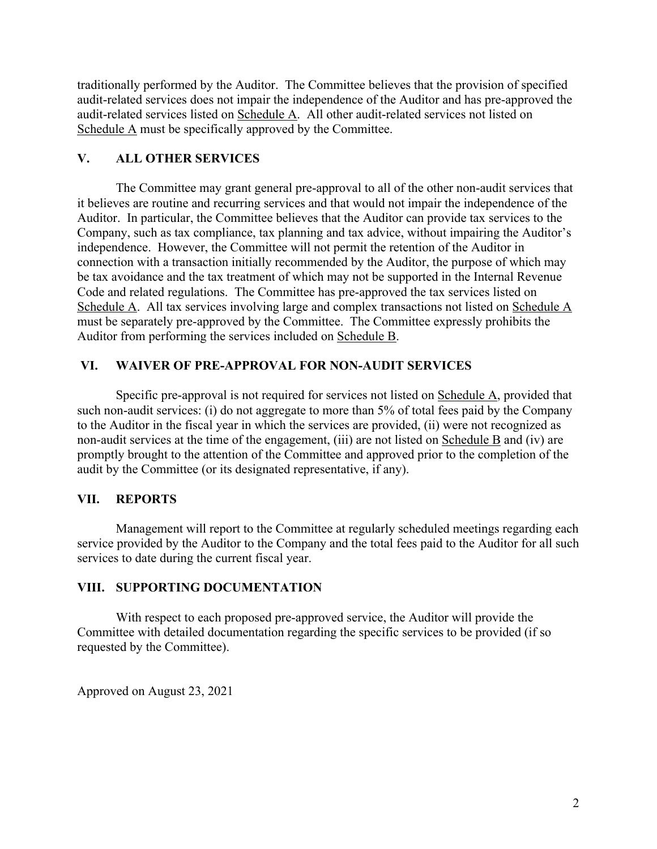traditionally performed by the Auditor. The Committee believes that the provision of specified audit-related services does not impair the independence of the Auditor and has pre-approved the audit-related services listed on Schedule A. All other audit-related services not listed on Schedule A must be specifically approved by the Committee.

# **V. ALL OTHER SERVICES**

The Committee may grant general pre-approval to all of the other non-audit services that it believes are routine and recurring services and that would not impair the independence of the Auditor. In particular, the Committee believes that the Auditor can provide tax services to the Company, such as tax compliance, tax planning and tax advice, without impairing the Auditor's independence. However, the Committee will not permit the retention of the Auditor in connection with a transaction initially recommended by the Auditor, the purpose of which may be tax avoidance and the tax treatment of which may not be supported in the Internal Revenue Code and related regulations. The Committee has pre-approved the tax services listed on Schedule A. All tax services involving large and complex transactions not listed on Schedule A must be separately pre-approved by the Committee. The Committee expressly prohibits the Auditor from performing the services included on Schedule B.

# **VI. WAIVER OF PRE-APPROVAL FOR NON-AUDIT SERVICES**

Specific pre-approval is not required for services not listed on Schedule A, provided that such non-audit services: (i) do not aggregate to more than 5% of total fees paid by the Company to the Auditor in the fiscal year in which the services are provided, (ii) were not recognized as non-audit services at the time of the engagement, (iii) are not listed on Schedule B and (iv) are promptly brought to the attention of the Committee and approved prior to the completion of the audit by the Committee (or its designated representative, if any).

# **VII. REPORTS**

Management will report to the Committee at regularly scheduled meetings regarding each service provided by the Auditor to the Company and the total fees paid to the Auditor for all such services to date during the current fiscal year.

# **VIII. SUPPORTING DOCUMENTATION**

With respect to each proposed pre-approved service, the Auditor will provide the Committee with detailed documentation regarding the specific services to be provided (if so requested by the Committee).

Approved on August 23, 2021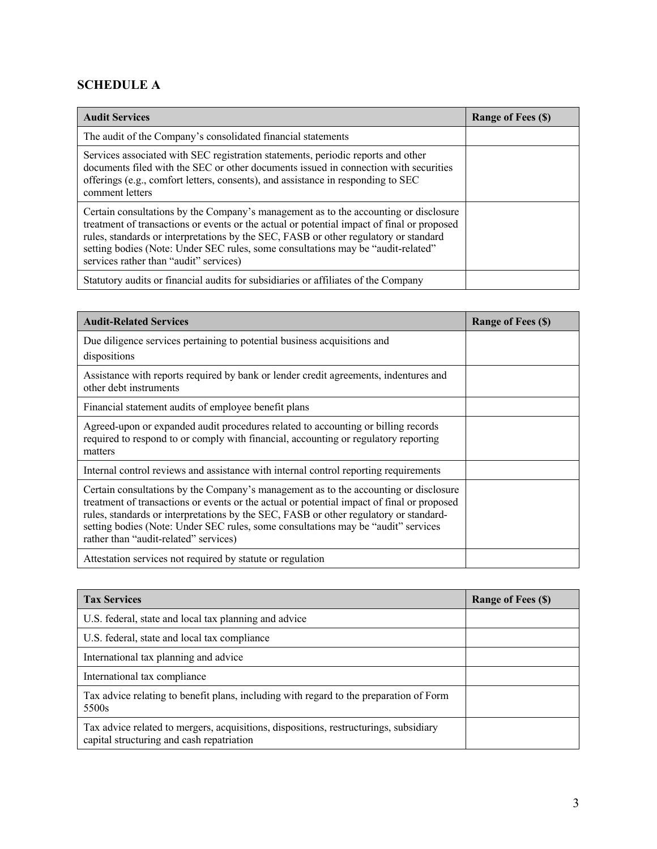# **SCHEDULE A**

| <b>Audit Services</b>                                                                                                                                                                                                                                                                                                                                                                                    | <b>Range of Fees (\$)</b> |
|----------------------------------------------------------------------------------------------------------------------------------------------------------------------------------------------------------------------------------------------------------------------------------------------------------------------------------------------------------------------------------------------------------|---------------------------|
| The audit of the Company's consolidated financial statements                                                                                                                                                                                                                                                                                                                                             |                           |
| Services associated with SEC registration statements, periodic reports and other<br>documents filed with the SEC or other documents issued in connection with securities<br>offerings (e.g., comfort letters, consents), and assistance in responding to SEC<br>comment letters                                                                                                                          |                           |
| Certain consultations by the Company's management as to the accounting or disclosure<br>treatment of transactions or events or the actual or potential impact of final or proposed<br>rules, standards or interpretations by the SEC, FASB or other regulatory or standard<br>setting bodies (Note: Under SEC rules, some consultations may be "audit-related"<br>services rather than "audit" services) |                           |
| Statutory audits or financial audits for subsidiaries or affiliates of the Company                                                                                                                                                                                                                                                                                                                       |                           |

| <b>Audit-Related Services</b>                                                                                                                                                                                                                                                                                                                                                                             | <b>Range of Fees (\$)</b> |
|-----------------------------------------------------------------------------------------------------------------------------------------------------------------------------------------------------------------------------------------------------------------------------------------------------------------------------------------------------------------------------------------------------------|---------------------------|
| Due diligence services pertaining to potential business acquisitions and<br>dispositions                                                                                                                                                                                                                                                                                                                  |                           |
| Assistance with reports required by bank or lender credit agreements, indentures and<br>other debt instruments                                                                                                                                                                                                                                                                                            |                           |
| Financial statement audits of employee benefit plans                                                                                                                                                                                                                                                                                                                                                      |                           |
| Agreed-upon or expanded audit procedures related to accounting or billing records<br>required to respond to or comply with financial, accounting or regulatory reporting<br>matters                                                                                                                                                                                                                       |                           |
| Internal control reviews and assistance with internal control reporting requirements                                                                                                                                                                                                                                                                                                                      |                           |
| Certain consultations by the Company's management as to the accounting or disclosure<br>treatment of transactions or events or the actual or potential impact of final or proposed<br>rules, standards or interpretations by the SEC, FASB or other regulatory or standard-<br>setting bodies (Note: Under SEC rules, some consultations may be "audit" services<br>rather than "audit-related" services) |                           |
| Attestation services not required by statute or regulation                                                                                                                                                                                                                                                                                                                                                |                           |

| <b>Tax Services</b>                                                                                                                | Range of Fees (\$) |
|------------------------------------------------------------------------------------------------------------------------------------|--------------------|
| U.S. federal, state and local tax planning and advice                                                                              |                    |
| U.S. federal, state and local tax compliance                                                                                       |                    |
| International tax planning and advice                                                                                              |                    |
| International tax compliance                                                                                                       |                    |
| Tax advice relating to benefit plans, including with regard to the preparation of Form<br>5500s                                    |                    |
| Tax advice related to mergers, acquisitions, dispositions, restructurings, subsidiary<br>capital structuring and cash repatriation |                    |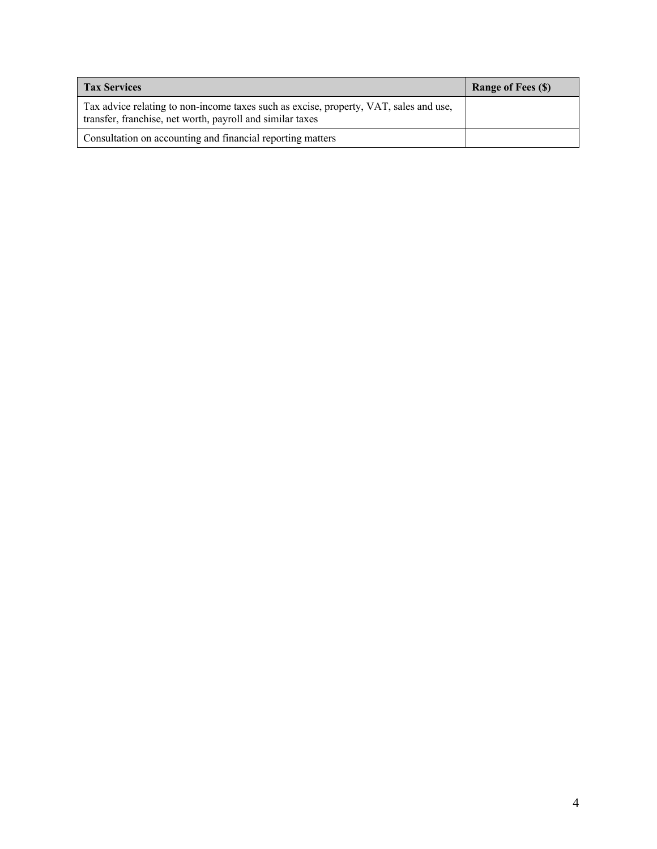| <b>Tax Services</b>                                                                                                                                | <b>Range of Fees (\$)</b> |
|----------------------------------------------------------------------------------------------------------------------------------------------------|---------------------------|
| Tax advice relating to non-income taxes such as excise, property, VAT, sales and use,<br>transfer, franchise, net worth, payroll and similar taxes |                           |
| Consultation on accounting and financial reporting matters                                                                                         |                           |